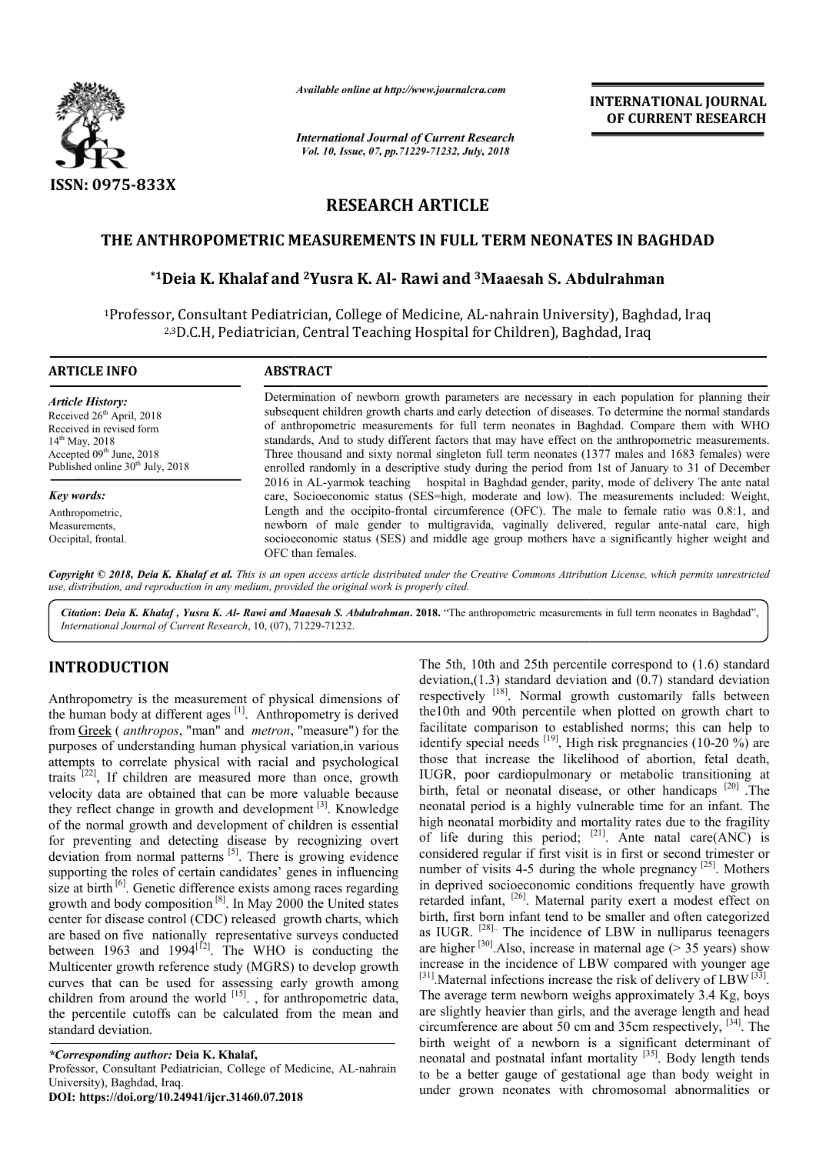

*Available online at http://www.journalcra.com*

*International Journal of Current Research Vol. 10, Issue, 07, pp.71229-71232, July, 2018*

**INTERNATIONAL JOURNAL OF CURRENT RESEARCH**

# **RESEARCH ARTICLE**

### **THE ANTHROPOMETRIC MEASUREMENTS IN FULL TERM NEONATES IN BAGHDAD ANTHROPOMETRIC BAGHDAD**

# **\*1Deia K. Khalaf and 2Yusra K. Al- Rawi and 3Maaesah S. Abdulrahman**

1Professor, Consultant Pediatrician, College of Medicine, AL-nahrain University), Baghdad, Iraq <sup>2,3</sup>D.C.H, Pediatrician, Central Teaching Hospital for Children), Baghdad, Iraq

| <b>ARTICLE INFO</b>                                                                                                                                                                               | <b>ABSTRACT</b>                                                                                                                                                                                                                                                                                                                                                                                                                                                                                                                                                                                                |  |  |
|---------------------------------------------------------------------------------------------------------------------------------------------------------------------------------------------------|----------------------------------------------------------------------------------------------------------------------------------------------------------------------------------------------------------------------------------------------------------------------------------------------------------------------------------------------------------------------------------------------------------------------------------------------------------------------------------------------------------------------------------------------------------------------------------------------------------------|--|--|
| <b>Article History:</b><br>Received 26 <sup>th</sup> April, 2018<br>Received in revised form<br>$14^{th}$ May, 2018<br>Accepted $09th$ June, 2018<br>Published online 30 <sup>th</sup> July, 2018 | Determination of newborn growth parameters are necessary in each population for planning their<br>subsequent children growth charts and early detection of diseases. To determine the normal standards<br>of anthropometric measurements for full term neonates in Baghdad. Compare them with WHO<br>standards, And to study different factors that may have effect on the anthropometric measurements.<br>Three thousand and sixty normal singleton full term neonates (1377 males and 1683 females) were<br>enrolled randomly in a descriptive study during the period from 1st of January to 31 of December |  |  |
| Key words:                                                                                                                                                                                        | 2016 in AL-yarmok teaching hospital in Baghdad gender, parity, mode of delivery The ante natal<br>care, Socioeconomic status (SES=high, moderate and low). The measurements included: Weight,                                                                                                                                                                                                                                                                                                                                                                                                                  |  |  |
| Anthropometric,<br>Measurements.<br>Occipital, frontal.                                                                                                                                           | Length and the occipito-frontal circumference (OFC). The male to female ratio was 0.8:1, and<br>newborn of male gender to multigravida, vaginally delivered, regular ante-natal care, high<br>socioeconomic status (SES) and middle age group mothers have a significantly higher weight and<br>OFC than females.                                                                                                                                                                                                                                                                                              |  |  |

Copyright © 2018, Deia K. Khalaf et al. This is an open access article distributed under the Creative Commons Attribution License, which permits unrestrictea *use, distribution, and reproduction in any medium, provided the original work is properly cited.*

Citation: Deia K. Khalaf, Yusra K. Al- Rawi and Maaesah S. Abdulrahman. 2018. "The anthropometric measurements in full term neonates in Baghdad", *International Journal of Current Research*, 10, (07), 71229 71229-71232.

## **INTRODUCTION**

Anthropometry is the measurement of physical dimensions of the human body at different ages  $[1]$ . Anthropometry is derived from Greek ( *anthropos*, "man" and *metron*, "measure") for the purposes of understanding human physical variation,in various attempts to correlate physical with racial and psychological traits  $[22]$ , If children are measured more than once, growth velocity data are obtained that can be more valuable because they reflect change in growth and development<sup>[3]</sup>. Knowledge of the normal growth and development of children is essential for preventing and detecting disease by recognizing overt deviation from normal patterns <sup>[5]</sup>. There is growing evidence supporting the roles of certain candidates' genes in influencing size at birth  $\left[6\right]$ . Genetic difference exists among races regarding growth and body composition [8]. In May 2000 the United states center for disease control (CDC) released growth charts, which are based on five nationally representative surveys conducted between 1963 and 1994 $^{[12]}$ . The WHO is conducting the Multicenter growth reference study (MGRS) to develop growth curves that can be used for assessing early growth among children from around the world  $[15]$ , for anthropometric data, the percentile cutoffs can be calculated from the mean and standard deviation. ing and detecting disease by recognizing overt<br>om normal patterns <sup>[5]</sup>. There is growing evidence<br>the roles of certain candidates' genes in influencing<br> $^{[6]}$ . Genetic difference exists among races regarding<br>body composi

*\*Corresponding author:* **Deia K. Khalaf,** Professor, Consultant Pediatrician, College of Medicine, AL University), Baghdad, Iraq. **DOI: https://doi.org/10.24941/ijcr.31460.07.2018**

The 5th, 10th and 25th percentile correspond to (1.6) standard<br> **Thynical dimensions of** respectively <sup>[18]</sup>. Normal growth customarily falls between<br> *entron*, "measure") for the fluctual deviation and 90th percentile wh deviation,(1.3) standard deviation and  $(0.7)$  standard deviation respectively <sup>[18]</sup>. Normal growth customarily falls between the10th and 90th percentile when plotted on growth chart to facilitate comparison to established norms; this can help to The 5th, 10th and 25th percentile correspond to (1.6) standard deviation deviation, (1.3) standard deviation and (0.7) standard deviation respectively <sup>[18]</sup>. Normal growth customarily falls between the10th and 90th perce those that increase the likelihood of abortion, fetal death, IUGR, poor cardiopulmonary or metabolic transitioning at IUGR, poor cardiopulmonary or metabolic transitioning at birth, fetal or neonatal disease, or other handicaps  $[20]$ . The neonatal period is a highly vulnerable time for an infant. The high neonatal morbidity and mortality rates due to the fragility of life during this period; considered regular if first visit is in first or second trimester or considered regular if first visit is in first or second trimester or number of visits 4-5 during the whole pregnancy  $[25]$ . Mothers in deprived socioeconomic conditions frequently have growth retarded infant, <sup>[26]</sup>. Maternal parity exert a modest effect on birth, first born infant tend to be smaller and often categorized as IUGR. <sup>[28].</sup> The incidence of LBW in nulliparus teenagers are higher <sup>[30]</sup>. Also, increase in maternal age ( $>$  35 years) show increase in the incidence of LBW compared with younger age are higher <sup>[30]</sup>. Also, increase in maternal age (> 35 years) show<br>increase in the incidence of LBW compared with younger age<br><sup>[31]</sup>. Maternal infections increase the risk of delivery of LBW<sup>[33]</sup>. The average term newborn weighs approximately 3.4 Kg, boys are slightly heavier than girls, and the average length and head are slightly heavier than girls, and the average length and head circumference are about 50 cm and 35cm respectively,  $[34]$ . The birth weight of a newborn is a significant determinant of birth weight of a newborn is a significant determinant of neonatal and postnatal infant mortality  $[35]$ . Body length tends to be a better gauge of gestational age than body weight in under grown neonates with chromosomal abnormalities or ty and mortality rates due to the fragility<br>period;  $^{[21]}$ . Ante natal care(ANC) is prived socioeconomic conditions frequently have growth ed infant, <sup>[26]</sup>. Maternal parity exert a modest effect on first born infant tend to be smaller and often categorized GR. <sup>[28]</sup>. The incidence of LBW in nulliparus t INTERNATIONAL JOURNAL<br>
INTERNATIONAL JOURNAL<br>
IN Research<br>
IDE CURRENT RESEARCH<br>
CLE<br>
ILL TERM NEONATES IN BAGHDAD<br>
ICLE<br>
ILL TERM NEONATES IN BAGHDAD<br>
ICLE<br>
ILL TERM NEONATES IN BAGHDAD<br>
13 Maaesah S. Abdulrahman<br>
all fo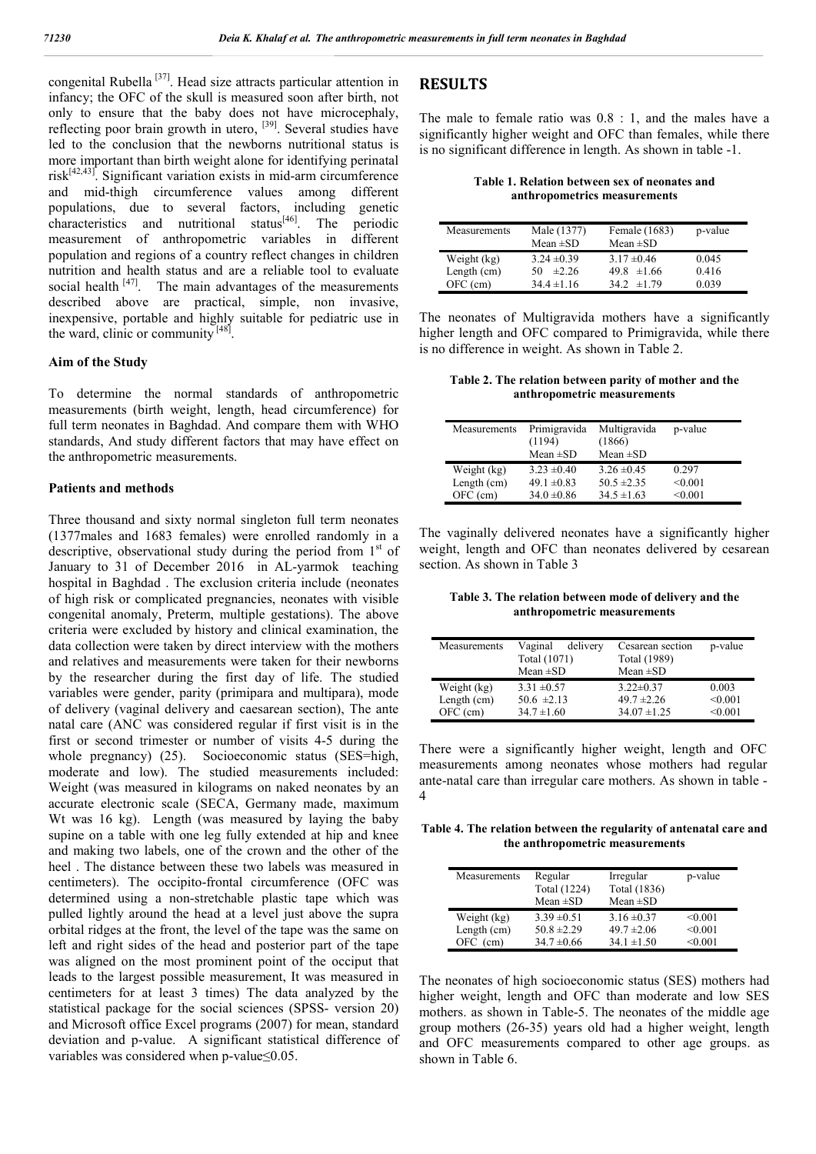congenital Rubella [37]. Head size attracts particular attention in infancy; the OFC of the skull is measured soon after birth, not only to ensure that the baby does not have microcephaly, reflecting poor brain growth in utero, <sup>[39]</sup>. Several studies have led to the conclusion that the newborns nutritional status is more important than birth weight alone for identifying perinatal risk[42,43]. Significant variation exists in mid-arm circumference and mid-thigh circumference values among different populations, due to several factors, including genetic characteristics and nutritional status<sup>[46]</sup>. The periodic measurement of anthropometric variables in different population and regions of a country reflect changes in children nutrition and health status and are a reliable tool to evaluate social health  $[47]$ . The main advantages of the measurements described above are practical, simple, non invasive, inexpensive, portable and highly suitable for pediatric use in the ward, clinic or community  $[48]$ .

#### **Aim of the Study**

To determine the normal standards of anthropometric measurements (birth weight, length, head circumference) for full term neonates in Baghdad. And compare them with WHO standards, And study different factors that may have effect on the anthropometric measurements.

#### **Patients and methods**

Three thousand and sixty normal singleton full term neonates (1377males and 1683 females) were enrolled randomly in a descriptive, observational study during the period from  $1<sup>st</sup>$  of January to 31 of December 2016 in AL-yarmok teaching hospital in Baghdad . The exclusion criteria include (neonates of high risk or complicated pregnancies, neonates with visible congenital anomaly, Preterm, multiple gestations). The above criteria were excluded by history and clinical examination, the data collection were taken by direct interview with the mothers and relatives and measurements were taken for their newborns by the researcher during the first day of life. The studied variables were gender, parity (primipara and multipara), mode of delivery (vaginal delivery and caesarean section), The ante natal care (ANC was considered regular if first visit is in the first or second trimester or number of visits 4-5 during the whole pregnancy) (25). Socioeconomic status (SES=high, moderate and low). The studied measurements included: Weight (was measured in kilograms on naked neonates by an accurate electronic scale (SECA, Germany made, maximum Wt was 16 kg). Length (was measured by laying the baby supine on a table with one leg fully extended at hip and knee and making two labels, one of the crown and the other of the heel . The distance between these two labels was measured in centimeters). The occipito-frontal circumference (OFC was determined using a non-stretchable plastic tape which was pulled lightly around the head at a level just above the supra orbital ridges at the front, the level of the tape was the same on left and right sides of the head and posterior part of the tape was aligned on the most prominent point of the occiput that leads to the largest possible measurement, It was measured in centimeters for at least 3 times) The data analyzed by the statistical package for the social sciences (SPSS- version 20) and Microsoft office Excel programs (2007) for mean, standard deviation and p-value. A significant statistical difference of variables was considered when p-value≤0.05.

### **RESULTS**

The male to female ratio was 0.8 : 1, and the males have a significantly higher weight and OFC than females, while there is no significant difference in length. As shown in table -1.

**Table 1. Relation between sex of neonates and anthropometrics measurements**

| Measurements  | Male (1377)<br>Mean $\pm SD$ | Female (1683)<br>Mean $\pm SD$ | p-value |
|---------------|------------------------------|--------------------------------|---------|
| Weight (kg)   | $3.24 \pm 0.39$              | $3.17 \pm 0.46$                | 0.045   |
| Length $(cm)$ | $\pm$ 2.26<br>50             | $49.8 \pm 1.66$                | 0.416   |
| $OFC$ (cm)    | $34.4 \pm 1.16$              | 34 2 $\pm$ 1 79                | 0.039   |

The neonates of Multigravida mothers have a significantly higher length and OFC compared to Primigravida, while there is no difference in weight. As shown in Table 2.

**Table 2. The relation between parity of mother and the anthropometric measurements**

| Measurements  | Primigravida    | Multigravida    | p-value |
|---------------|-----------------|-----------------|---------|
|               | (1194)          | (1866)          |         |
|               | Mean $\pm SD$   | Mean $\pm SD$   |         |
| Weight (kg)   | $3.23 \pm 0.40$ | $3.26 \pm 0.45$ | 0.297   |
| Length $(cm)$ | $49.1 \pm 0.83$ | $50.5 \pm 2.35$ | < 0.001 |
| OFC (cm)      | $34.0 \pm 0.86$ | $34.5 \pm 1.63$ | < 0.001 |

The vaginally delivered neonates have a significantly higher weight, length and OFC than neonates delivered by cesarean section. As shown in Table 3

**Table 3. The relation between mode of delivery and the anthropometric measurements**

| Measurements  | Vaginal<br>delivery | Cesarean section | p-value |
|---------------|---------------------|------------------|---------|
|               | Total (1071)        | Total (1989)     |         |
|               | Mean $\pm SD$       | Mean $\pm SD$    |         |
| Weight (kg)   | $3.31 \pm 0.57$     | $3.22 \pm 0.37$  | 0.003   |
| Length $(cm)$ | $50.6 \pm 2.13$     | $49.7 \pm 2.26$  | < 0.001 |
| $OFC$ (cm)    | $34.7 \pm 1.60$     | $34.07 \pm 1.25$ | < 0.001 |

There were a significantly higher weight, length and OFC measurements among neonates whose mothers had regular ante-natal care than irregular care mothers. As shown in table - 4

**Table 4. The relation between the regularity of antenatal care and the anthropometric measurements**

| Measurements  | Regular         | Irregular       | p-value |
|---------------|-----------------|-----------------|---------|
|               | Total (1224)    | Total (1836)    |         |
|               | Mean $\pm SD$   | Mean $\pm SD$   |         |
| Weight (kg)   | $3.39 \pm 0.51$ | $3.16 \pm 0.37$ | < 0.001 |
| Length $(cm)$ | $50.8 \pm 2.29$ | $49.7 \pm 2.06$ | < 0.001 |
| (cm)<br>OFC - | $34.7 \pm 0.66$ | $34.1 \pm 1.50$ | < 0.001 |

The neonates of high socioeconomic status (SES) mothers had higher weight, length and OFC than moderate and low SES mothers. as shown in Table-5. The neonates of the middle age group mothers (26-35) years old had a higher weight, length and OFC measurements compared to other age groups. as shown in Table 6.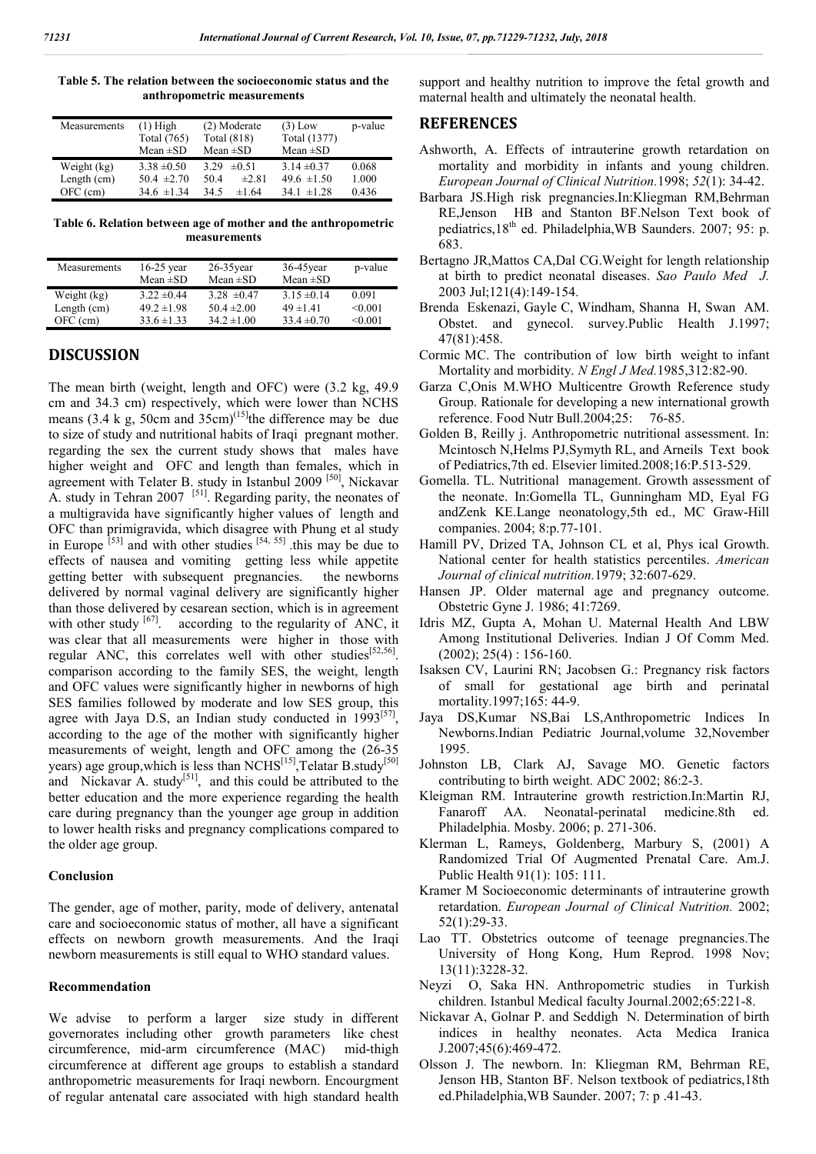| Measurements  | $(1)$ High      | (2) Moderate       | $(3)$ Low       | p-value |
|---------------|-----------------|--------------------|-----------------|---------|
|               | Total (765)     | <b>Total</b> (818) | Total (1377)    |         |
|               | Mean $\pm SD$   | Mean $\pm SD$      | Mean $\pm SD$   |         |
| Weight (kg)   | $3.38 \pm 0.50$ | 3.29<br>$\pm 0.51$ | $3.14 \pm 0.37$ | 0.068   |
| Length $(cm)$ | $50.4 \pm 2.70$ | 50.4<br>$\pm 2.81$ | 49.6 $\pm 1.50$ | 1.000   |
| $OFC$ (cm)    | $34.6 \pm 1.34$ | 34.5<br>$\pm 1.64$ | $34.1 \pm 1.28$ | 0.436   |

**Table 5. The relation between the socioeconomic status and the anthropometric measurements**

**Table 6. Relation between age of mother and the anthropometric measurements**

| Measurements  | $16-25$ year<br>Mean $\pm SD$ | $26-35$ year<br>Mean $\pm SD$ | $36-45$ vear<br>Mean $\pm SD$ | p-value      |
|---------------|-------------------------------|-------------------------------|-------------------------------|--------------|
| Weight (kg)   | $3.22 \pm 0.44$               | $3.28 \pm 0.47$               | $3.15 \pm 0.14$               | 0.091        |
| Length $(cm)$ | $49.2 \pm 1.98$               | $50.4 \pm 2.00$               | $49 \pm 1.41$                 | $\leq 0.001$ |
| OFC (cm)      | $33.6 \pm 1.33$               | $34.2 \pm 1.00$               | $33.4 \pm 0.70$               | $\leq 0.001$ |

### **DISCUSSION**

The mean birth (weight, length and OFC) were (3.2 kg, 49.9 cm and 34.3 cm) respectively, which were lower than NCHS means  $(3.4 \text{ kg}, 50 \text{cm})$  and  $35 \text{cm}$ <sup>(15)</sup>the difference may be due to size of study and nutritional habits of Iraqi pregnant mother. regarding the sex the current study shows that males have higher weight and OFC and length than females, which in agreement with Telater B. study in Istanbul 2009<sup>[50]</sup>, Nickavar A. study in Tehran 2007  $[51]$ . Regarding parity, the neonates of a multigravida have significantly higher values of length and OFC than primigravida, which disagree with Phung et al study in Europe  $[53]$  and with other studies  $[54, 55]$  this may be due to effects of nausea and vomiting getting less while appetite getting better with subsequent pregnancies. the newborns delivered by normal vaginal delivery are significantly higher than those delivered by cesarean section, which is in agreement with other study  $[67]$ . according to the regularity of ANC, it was clear that all measurements were higher in those with regular ANC, this correlates well with other studies<sup>[52,56]</sup>. comparison according to the family SES, the weight, length and OFC values were significantly higher in newborns of high SES families followed by moderate and low SES group, this agree with Jaya D.S, an Indian study conducted in  $1993^{[57]}$ , according to the age of the mother with significantly higher measurements of weight, length and OFC among the (26-35 years) age group, which is less than NCHS<sup>[15]</sup>, Telatar B.study<sup>[50]</sup> years) age group, which is loss than 110 and the attributed to the and Nickavar A. study<sup>[51]</sup>, and this could be attributed to the better education and the more experience regarding the health care during pregnancy than the younger age group in addition to lower health risks and pregnancy complications compared to the older age group.

#### **Conclusion**

The gender, age of mother, parity, mode of delivery, antenatal care and socioeconomic status of mother, all have a significant effects on newborn growth measurements. And the Iraqi newborn measurements is still equal to WHO standard values.

#### **Recommendation**

We advise to perform a larger size study in different governorates including other growth parameters like chest circumference, mid-arm circumference (MAC) mid-thigh circumference at different age groups to establish a standard anthropometric measurements for Iraqi newborn. Encourgment of regular antenatal care associated with high standard health

support and healthy nutrition to improve the fetal growth and maternal health and ultimately the neonatal health.

#### **REFERENCES**

- Ashworth, A. Effects of intrauterine growth retardation on mortality and morbidity in infants and young children. *European Journal of Clinical Nutrition.*1998; *52*(1): 34-42.
- Barbara JS.High risk pregnancies.In:Kliegman RM,Behrman RE,Jenson HB and Stanton BF.Nelson Text book of pediatrics,18<sup>th</sup> ed. Philadelphia, WB Saunders. 2007; 95: p. 683.
- Bertagno JR,Mattos CA,Dal CG.Weight for length relationship at birth to predict neonatal diseases. *Sao Paulo Med J.* 2003 Jul;121(4):149-154.
- Brenda Eskenazi, Gayle C, Windham, Shanna H, Swan AM. Obstet. and gynecol. survey.Public Health J.1997; 47(81):458.
- Cormic MC. The contribution of low birth weight to infant Mortality and morbidity. *N Engl J Med.*1985,312:82-90.
- Garza C,Onis M.WHO Multicentre Growth Reference study Group. Rationale for developing a new international growth reference. Food Nutr Bull.2004;25: 76-85.
- Golden B, Reilly j. Anthropometric nutritional assessment. In: Mcintosch N,Helms PJ,Symyth RL, and Arneils Text book of Pediatrics,7th ed. Elsevier limited.2008;16:P.513-529.
- Gomella. TL. Nutritional management. Growth assessment of the neonate. In:Gomella TL, Gunningham MD, Eyal FG andZenk KE.Lange neonatology,5th ed., MC Graw-Hill companies. 2004; 8:p.77-101.
- Hamill PV, Drized TA, Johnson CL et al, Phys ical Growth. National center for health statistics percentiles. *American Journal of clinical nutrition.*1979; 32:607-629.
- Hansen JP. Older maternal age and pregnancy outcome. Obstetric Gyne J. 1986; 41:7269.
- Idris MZ, Gupta A, Mohan U. Maternal Health And LBW Among Institutional Deliveries. Indian J Of Comm Med.  $(2002)$ ;  $25(4)$ : 156-160.
- Isaksen CV, Laurini RN; Jacobsen G.: Pregnancy risk factors of small for gestational age birth and perinatal mortality.1997;165: 44-9.
- Jaya DS,Kumar NS,Bai LS,Anthropometric Indices In Newborns.Indian Pediatric Journal,volume 32,November 1995.
- Johnston LB, Clark AJ, Savage MO. Genetic factors contributing to birth weight. ADC 2002; 86:2-3.
- Kleigman RM. Intrauterine growth restriction.In:Martin RJ, Fanaroff AA. Neonatal-perinatal medicine.8th ed. Philadelphia. Mosby. 2006; p. 271-306.
- Klerman L, Rameys, Goldenberg, Marbury S, (2001) A Randomized Trial Of Augmented Prenatal Care. Am.J. Public Health 91(1): 105: 111.
- Kramer M Socioeconomic determinants of intrauterine growth retardation. *European Journal of Clinical Nutrition.* 2002; 52(1):29-33.
- Lao TT. Obstetrics outcome of teenage pregnancies.The University of Hong Kong, Hum Reprod. 1998 Nov; 13(11):3228-32.
- Neyzi O, Saka HN. Anthropometric studies in Turkish children. Istanbul Medical faculty Journal.2002;65:221-8.
- Nickavar A, Golnar P. and Seddigh N. Determination of birth indices in healthy neonates. Acta Medica Iranica J.2007;45(6):469-472.
- Olsson J. The newborn. In: Kliegman RM, Behrman RE, Jenson HB, Stanton BF. Nelson textbook of pediatrics,18th ed.Philadelphia,WB Saunder. 2007; 7: p .41-43.